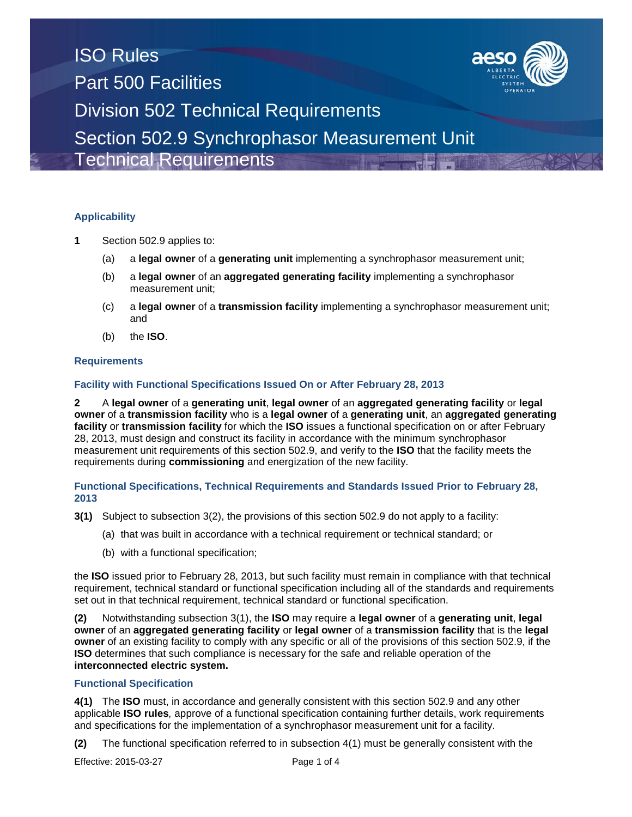

# **Applicability**

- **1** Section 502.9 applies to:
	- (a) a **legal owner** of a **generating unit** implementing a synchrophasor measurement unit;
	- (b) a **legal owner** of an **aggregated generating facility** implementing a synchrophasor measurement unit;
	- (c) a **legal owner** of a **transmission facility** implementing a synchrophasor measurement unit; and
	- (b) the **ISO**.

#### **Requirements**

## **Facility with Functional Specifications Issued On or After February 28, 2013**

**2** A **legal owner** of a **generating unit**, **legal owner** of an **aggregated generating facility** or **legal owner** of a **transmission facility** who is a **legal owner** of a **generating unit**, an **aggregated generating facility** or **transmission facility** for which the **ISO** issues a functional specification on or after February 28, 2013, must design and construct its facility in accordance with the minimum synchrophasor measurement unit requirements of this section 502.9, and verify to the **ISO** that the facility meets the requirements during **commissioning** and energization of the new facility.

## **Functional Specifications, Technical Requirements and Standards Issued Prior to February 28, 2013**

- **3(1)** Subject to subsection 3(2), the provisions of this section 502.9 do not apply to a facility:
	- (a) that was built in accordance with a technical requirement or technical standard; or
	- (b) with a functional specification;

the **ISO** issued prior to February 28, 2013, but such facility must remain in compliance with that technical requirement, technical standard or functional specification including all of the standards and requirements set out in that technical requirement, technical standard or functional specification.

**(2)** Notwithstanding subsection 3(1), the **ISO** may require a **legal owner** of a **generating unit**, **legal owner** of an **aggregated generating facility** or **legal owner** of a **transmission facility** that is the **legal owner** of an existing facility to comply with any specific or all of the provisions of this section 502.9, if the **ISO** determines that such compliance is necessary for the safe and reliable operation of the **interconnected electric system.** 

#### **Functional Specification**

**4(1)** The **ISO** must, in accordance and generally consistent with this section 502.9 and any other applicable **ISO rules***,* approve of a functional specification containing further details, work requirements and specifications for the implementation of a synchrophasor measurement unit for a facility.

**(2)** The functional specification referred to in subsection 4(1) must be generally consistent with the

Effective: 2015-03-27 Page 1 of 4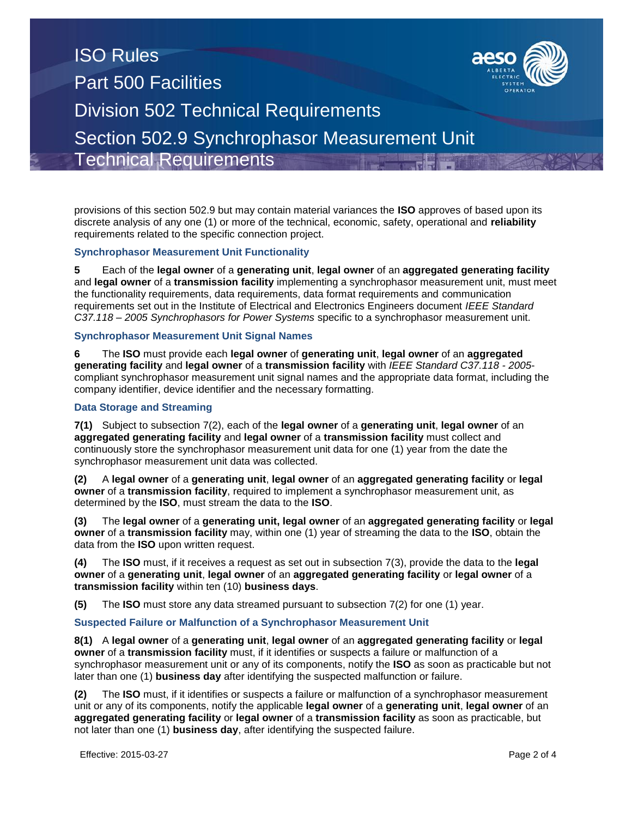# ISO Rules Part 500 Facilities Division 502 Technical Requirements Section 502.9 Synchrophasor Measurement Unit Technical Requirements

provisions of this section 502.9 but may contain material variances the **ISO** approves of based upon its discrete analysis of any one (1) or more of the technical, economic, safety, operational and **reliability**  requirements related to the specific connection project.

## **Synchrophasor Measurement Unit Functionality**

**5** Each of the **legal owner** of a **generating unit**, **legal owner** of an **aggregated generating facility** and **legal owner** of a **transmission facility** implementing a synchrophasor measurement unit, must meet the functionality requirements, data requirements, data format requirements and communication requirements set out in the Institute of Electrical and Electronics Engineers document *IEEE Standard C37.118 – 2005 Synchrophasors for Power Systems* specific to a synchrophasor measurement unit.

## **Synchrophasor Measurement Unit Signal Names**

**6** The **ISO** must provide each **legal owner** of **generating unit**, **legal owner** of an **aggregated generating facility** and **legal owner** of a **transmission facility** with *IEEE Standard C37.118 - 2005* compliant synchrophasor measurement unit signal names and the appropriate data format, including the company identifier, device identifier and the necessary formatting.

## **Data Storage and Streaming**

**7(1)** Subject to subsection 7(2), each of the **legal owner** of a **generating unit**, **legal owner** of an **aggregated generating facility** and **legal owner** of a **transmission facility** must collect and continuously store the synchrophasor measurement unit data for one (1) year from the date the synchrophasor measurement unit data was collected.

**(2)** A **legal owner** of a **generating unit**, **legal owner** of an **aggregated generating facility** or **legal owner** of a **transmission facility**, required to implement a synchrophasor measurement unit, as determined by the **ISO**, must stream the data to the **ISO**.

**(3)** The **legal owner** of a **generating unit, legal owner** of an **aggregated generating facility** or **legal owner** of a **transmission facility** may, within one (1) year of streaming the data to the **ISO**, obtain the data from the **ISO** upon written request.

**(4)** The **ISO** must, if it receives a request as set out in subsection 7(3), provide the data to the **legal owner** of a **generating unit**, **legal owner** of an **aggregated generating facility** or **legal owner** of a **transmission facility** within ten (10) **business days**.

**(5)** The **ISO** must store any data streamed pursuant to subsection 7(2) for one (1) year.

#### **Suspected Failure or Malfunction of a Synchrophasor Measurement Unit**

**8(1)** A **legal owner** of a **generating unit**, **legal owner** of an **aggregated generating facility** or **legal owner** of a **transmission facility** must, if it identifies or suspects a failure or malfunction of a synchrophasor measurement unit or any of its components, notify the **ISO** as soon as practicable but not later than one (1) **business day** after identifying the suspected malfunction or failure.

**(2)** The **ISO** must, if it identifies or suspects a failure or malfunction of a synchrophasor measurement unit or any of its components, notify the applicable **legal owner** of a **generating unit**, **legal owner** of an **aggregated generating facility** or **legal owner** of a **transmission facility** as soon as practicable, but not later than one (1) **business day**, after identifying the suspected failure.

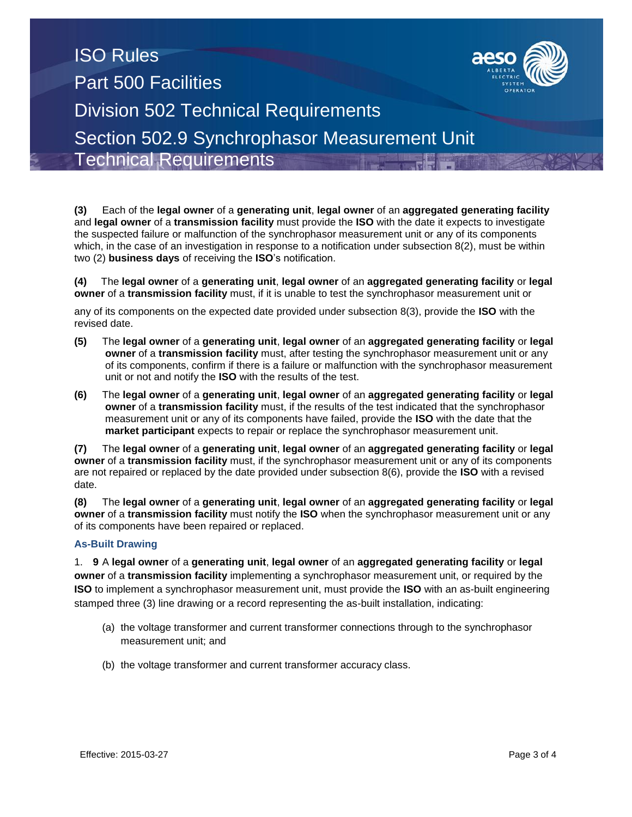# ISO Rules Part 500 Facilities Division 502 Technical Requirements Section 502.9 Synchrophasor Measurement Unit Technical Requirements

**(3)** Each of the **legal owner** of a **generating unit**, **legal owner** of an **aggregated generating facility** and **legal owner** of a **transmission facility** must provide the **ISO** with the date it expects to investigate the suspected failure or malfunction of the synchrophasor measurement unit or any of its components which, in the case of an investigation in response to a notification under subsection 8(2), must be within two (2) **business days** of receiving the **ISO**'s notification.

**(4)** The **legal owner** of a **generating unit**, **legal owner** of an **aggregated generating facility** or **legal owner** of a **transmission facility** must, if it is unable to test the synchrophasor measurement unit or

any of its components on the expected date provided under subsection 8(3), provide the **ISO** with the revised date.

- **(5)** The **legal owner** of a **generating unit**, **legal owner** of an **aggregated generating facility** or **legal owner** of a **transmission facility** must, after testing the synchrophasor measurement unit or any of its components, confirm if there is a failure or malfunction with the synchrophasor measurement unit or not and notify the **ISO** with the results of the test.
- **(6)** The **legal owner** of a **generating unit**, **legal owner** of an **aggregated generating facility** or **legal owner** of a **transmission facility** must, if the results of the test indicated that the synchrophasor measurement unit or any of its components have failed, provide the **ISO** with the date that the **market participant** expects to repair or replace the synchrophasor measurement unit.

**(7)** The **legal owner** of a **generating unit**, **legal owner** of an **aggregated generating facility** or **legal owner** of a **transmission facility** must, if the synchrophasor measurement unit or any of its components are not repaired or replaced by the date provided under subsection 8(6), provide the **ISO** with a revised date.

**(8)** The **legal owner** of a **generating unit**, **legal owner** of an **aggregated generating facility** or **legal owner** of a **transmission facility** must notify the **ISO** when the synchrophasor measurement unit or any of its components have been repaired or replaced.

## **As-Built Drawing**

1. **9** A **legal owner** of a **generating unit**, **legal owner** of an **aggregated generating facility** or **legal owner** of a **transmission facility** implementing a synchrophasor measurement unit, or required by the **ISO** to implement a synchrophasor measurement unit, must provide the **ISO** with an as-built engineering stamped three (3) line drawing or a record representing the as-built installation, indicating:

- (a) the voltage transformer and current transformer connections through to the synchrophasor measurement unit; and
- (b) the voltage transformer and current transformer accuracy class.